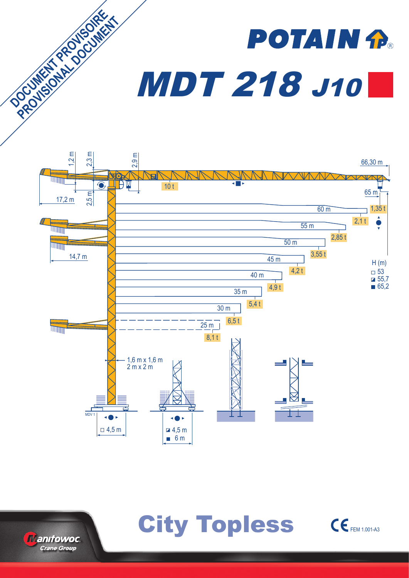# **POTAIN P** MDT 218 J10









**DOCUMENT PROVISORE PROVISIONAL PROVISIONAL**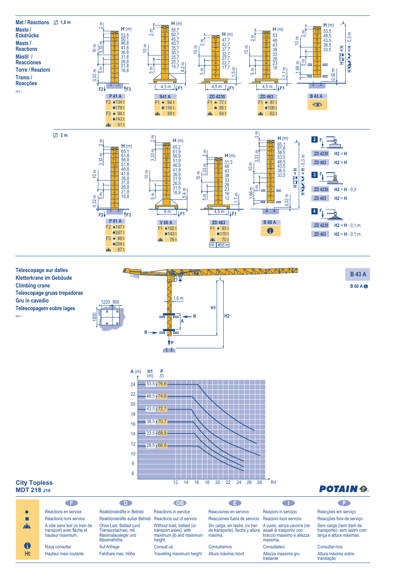





# **POTAIN P.**

em serviço fora de serviço (nem trem de sem lastro com ura máximas.

nos ima sobre translação

# **City Topless MDT 218 J10**

|              | Œ                                                                              | <b>CD</b>                                                                              | <b>GB</b>                                                                                 | Œ                                                                                                      | n m                                                                 | - P                                                    |
|--------------|--------------------------------------------------------------------------------|----------------------------------------------------------------------------------------|-------------------------------------------------------------------------------------------|--------------------------------------------------------------------------------------------------------|---------------------------------------------------------------------|--------------------------------------------------------|
|              |                                                                                |                                                                                        |                                                                                           |                                                                                                        |                                                                     |                                                        |
|              | Réactions en service                                                           | Reaktionskräfte in Betrieb                                                             | Reactions in service                                                                      | Reacciones en servicio                                                                                 | Reazioni in servizio                                                | Reacções em s                                          |
|              | Réactions hors service                                                         | Reaktionskräfte außer Betrieb                                                          | Reactions out of service                                                                  | Reacciones fuera de servicio                                                                           | Reazioni fuori servizio                                             | Reacções fora                                          |
| $\mathbf{A}$ | A vide sans lest (ni train de<br>transport) avec flèche et<br>hauteur maximum. | Ohne Last, Ballast (und<br>Transportachse), mit<br>Maximalausleger und<br>Maximalhöhe. | Without load, ballast (or<br>transport axles), with<br>maximum jib and maximum<br>height. | Sin carga, sin lastre, (ni tren<br>de transporte), flecha y altura assali di trasporto) con<br>máxima. | A vuoto, senza zavorra (ne<br>braccio massimo e altezza<br>massima. | Sem carga (ner<br>transporte)- ser<br>lança e altura m |
| $\mathbf 6$  | Nous consulter                                                                 | Auf Anfrage                                                                            | Consult us                                                                                | Consultarnos                                                                                           | Consultateci                                                        | Consultar-nos                                          |
| <b>Ht</b>    | Hauteur maxi roulante                                                          | Fahrbare max. Höhe                                                                     | Travelling maximum height                                                                 | Altura máxima móvil                                                                                    | Altezza massima gru<br>traslante                                    | Altura máxima s<br>translação                          |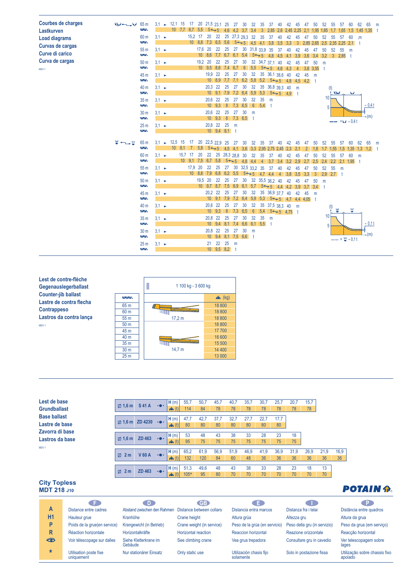| <b>Courbes de charges</b><br>Lastkurven | الملحة وسيدانها | 65 m<br>ΔΔ.                                  | $3.1 -$           | $12,1$ 15              | $10$ 7,7 6,7 5,5 | 17      |           | 20 21,5 23.1 25<br>$5 + 5$                                   |                                 | 4,6     | 27<br>4.2                   | 30 <sup>°</sup><br>3.7  | 32<br>3,4             | 35<br>-3              | 37<br>2,85                                       | 40<br>$2,6$ 2,45     | 42        | 45<br>2,25      | 47<br>2.1       | 50<br>1,95         | 52<br>1,85           | 55                      | -57<br>1,65                  | 60                 | 62<br>$1,5$ 1,45 1,35 t | 65       | m |
|-----------------------------------------|-----------------|----------------------------------------------|-------------------|------------------------|------------------|---------|-----------|--------------------------------------------------------------|---------------------------------|---------|-----------------------------|-------------------------|-----------------------|-----------------------|--------------------------------------------------|----------------------|-----------|-----------------|-----------------|--------------------|----------------------|-------------------------|------------------------------|--------------------|-------------------------|----------|---|
| <b>Load diagrams</b>                    |                 | 60 <sub>m</sub><br>ΛΛ.                       | $3.1 \rightarrow$ |                        |                  | 15,2 17 |           | 20<br>$10 \quad 8,8 \quad 7,3 \quad 6,5 \quad 5,6$           | 22                              |         | 25 27,3 29,3 32<br>$5 + 5$  |                         | 4.5                   | 35<br>$4.1 \quad 3.8$ | 37                                               | 40<br>3,5            | 42<br>3,3 | 45<br>3         | 47<br>2,85 2,65 | 50                 | 52                   | 55<br>2,5 2,35 2,25     | -57                          | 60<br>2,1          | $\mathsf{m}$<br>- t     |          |   |
| Curvas de cargas<br>Curve di carico     |                 | 55 <sub>m</sub><br><b>AAN</b>                | $3.1 \rightarrow$ |                        |                  |         | 17,6 20   | $10 \, 8,6$                                                  | 22<br>$7.7 \quad 6.7 \quad 6.1$ | 25      | 27                          | 30<br>5.4               | 31,8 33,9 35          | $5 + 5$ 4.8           |                                                  | 37<br>4,5            | 40<br>4.1 | 42<br>3,9       | 45<br>3,6       | 47<br>3.4          | 50<br>3,2            | 52                      | 55<br>$3 \quad 2,85 \quad t$ | m                  |                         |          |   |
| Curva de cargas<br>MDV <sub>1</sub>     |                 | 50 <sub>m</sub><br>$\overline{\wedge}\wedge$ | $3.1 \rightarrow$ |                        |                  |         | 19.2 20   | 10 9,5 8,6 7,4 6,7                                           | 22                              | 25      | 27                          | 30<br>6                 | 32<br>5,5             | 34,7 37,1<br>$5 + 5$  |                                                  | 40<br>4.6            | 42<br>4.3 | 45<br>4         | 47<br>3,8       | 50<br>3,55         | m<br>- t             |                         |                              |                    |                         |          |   |
|                                         |                 | 45 m<br>$\overline{\wedge}\wedge$            | $3.1 \rightarrow$ |                        |                  |         |           | 19,9 22                                                      | $10 \mid 8,9 \mid 7,7 \mid$     | 25      | 27<br>7.1                   | 30<br>6,2               | 32                    | 35                    | 36,1 38,6<br>$5,8$ $5,2$ $5 \rightarrow 5$ $4,8$ |                      | -40       | 42<br>$4,5$ 4,2 | 45              | m<br>– t           |                      |                         |                              |                    |                         |          |   |
|                                         |                 | 40 <sub>m</sub><br>ΛŴ                        | $3.1 -$           |                        |                  |         |           | 20,3 22<br>$10$ 9,1 7,9                                      |                                 | 25      | 27<br>7,2                   | 30<br>6,4               | 32<br>$5,9$ $5,3$     | 35                    | 36,8 39,3 40<br>$5 + 5$ 4.9                      |                      |           | m               |                 |                    |                      | (t)<br>المطالة          |                              | الحنا              |                         |          |   |
|                                         |                 | 35 <sub>m</sub><br>$\sim$                    | $3.1 -$           |                        |                  |         |           | 20,6 22<br>$10 \quad 9,3$                                    |                                 | 25<br>8 | 27<br>7,3                   | 30<br>6,5               | 32                    | 35<br>$6 \t 5,4 \t t$ | m                                                |                      |           |                 |                 |                    | 10 <sup>1</sup><br>5 |                         |                              |                    |                         | $-0,4t$  |   |
|                                         |                 | 30 <sub>m</sub><br>ΛΛ.                       | $3.1 \rightarrow$ |                        |                  |         |           | 20,6 22                                                      |                                 | 25      | 27 30<br>10 9,3 8 7,3 6,5 t |                         | m                     |                       |                                                  |                      |           |                 |                 |                    |                      |                         |                              | $-- = -1 - 0.4t$   |                         | (m)      |   |
|                                         |                 | 25 <sub>m</sub><br>ΛΛN                       | $3.1 \rightarrow$ |                        |                  |         |           | 20,8 22 25 m                                                 | $10 \t 9,4 \t 8,1 \t t$         |         |                             |                         |                       |                       |                                                  |                      |           |                 |                 |                    |                      |                         |                              |                    |                         |          |   |
|                                         | $\blacksquare$  | 65 m<br>$\overline{\wedge}\wedge$            | $3.1 -$           | 12,5<br>$10 \quad 8,1$ | -15              | 17      | 20<br>5,8 | 22,5 22.9 25<br>$5 + 5$                                      |                                 | 4.5     | 27<br>4.1                   | 30<br>3,6               | 32<br>3,3 2,95 2,75   | 35                    | 37                                               | 40<br>2.45           | 42<br>2,3 | 45<br>2,1       | 47              | 50                 | 52                   | 55<br>.55               | -57<br>$.5^{\circ}$          | 60<br>1,35         | 62<br>$1,3$ 1.2 t       | 65       | m |
|                                         |                 | 60 <sub>m</sub><br>$\sim$                    | $3.1 -$           |                        | $15.7$ 17        |         | 20        | 22<br>$10$ 9,1 7,5 6,7 5,8                                   | 25                              | $5 + 5$ | 28,3 28,8                   | 30<br>4.8               | 32<br>4.4             | 35<br>$\overline{4}$  | 37<br>3.7                                        | 40<br>3,4            | 42<br>3,2 | 45<br>2.9       | 47              | 50<br>2.5          | 52<br>2.4            | 55<br>2.2               | 57                           | 60<br>$2,1$ 1,95 t | m                       |          |   |
|                                         |                 | 55 m<br>$\overline{\wedge}\wedge$            | $3.1 \rightarrow$ |                        |                  | 17,9 20 |           | 22<br>$10 \quad 8,8 \quad 7,9 \quad 6,8 \quad 6,2 \quad 5,5$ | 25                              | 27      | 30 <sup>°</sup>             | 32,5 33,2 35<br>$5 + 5$ |                       | 4.7                   | 37<br>4.4                                        | 40<br>$\overline{4}$ | 42<br>3,8 | 45<br>3,5       | 47<br>3.3       | 50<br>$\mathbf{3}$ | 52<br>2,9            | 55<br>$2.7$ t           | m                            |                    |                         |          |   |
|                                         |                 | 50 <sub>m</sub><br>ΛΛ.                       | $3.1 \rightarrow$ |                        |                  |         | 19,5 20   | $10 \quad 9.7 \quad 8.7 \quad 7.5 \quad 6.9$                 | 22                              | 25      | 27                          | 30<br>6,1               | 32<br>5,7             |                       | 35,5 36.2 40<br>$5 + 5$ 4.4                      |                      | 42<br>4,2 | 45<br>3,9       | 47<br>3,7       | 50<br>3,4          | m<br>-t              |                         |                              |                    |                         |          |   |
|                                         |                 | 45 m<br><b>AAN</b>                           | $3.1 \rightarrow$ |                        |                  |         |           | 20,2 22<br>$10 \quad 9,1 \quad 7,9$                          |                                 | 25      | 27<br>7.2                   | 30<br>6,4               | 32<br>5.9             | 35<br>5,3             | 36,9 37.7<br>$5+5$                               |                      | 40<br>4.7 | 42<br>4,4 4,05  | 45              | m<br>- t           |                      |                         |                              |                    |                         |          |   |
|                                         |                 | 40 <sub>m</sub><br>$\overline{\wedge}\wedge$ | $3.1 \rightarrow$ |                        |                  |         |           | 20,6 22<br>$10 \quad 9,3$                                    |                                 | 25<br>8 | 27<br>7.3                   | 30<br>6,5               | 32<br>$6\overline{6}$ | 35<br>5,4             | 37,5 38,3 40<br>$5 + 5$ 4,75 t                   |                      |           | m               |                 |                    |                      | $\overline{\mathsf{M}}$ |                              | ٣                  |                         |          |   |
|                                         |                 | 35 <sub>m</sub><br>$\overline{\wedge}\wedge$ | $3.1 -$           |                        |                  |         |           | 20,8 22<br>$10 \mid 9,4 \mid 8,1$                            |                                 | 25      | 27<br>7,4                   | 30<br>6,6 6,1 5,5 t     | 32                    | 35                    | m                                                |                      |           |                 |                 |                    | 10 <sup>1</sup><br>5 |                         |                              |                    |                         | $-0,1$ t |   |
|                                         |                 | 30 <sub>m</sub><br>$\overline{\wedge}\wedge$ | $3.1 -$           |                        |                  |         |           | 20,8 22                                                      |                                 | 25      | 27<br>10 9,4 8,1 7,5 6,6 t  | 30                      | m                     |                       |                                                  |                      |           |                 |                 |                    |                      |                         |                              | $-- = 7 - 0.1t$    |                         | -(m)     |   |
|                                         |                 | 25 <sub>m</sub><br>$\Delta\Delta$            | $3.1 -$           |                        |                  |         |           | 21                                                           | 22<br>$10 \quad 9.5 \quad 8.2$  | $25$ m  | -t                          |                         |                       |                       |                                                  |                      |           |                 |                 |                    |                      |                         |                              |                    |                         |          |   |



| Lest de base        |                   |                                         |                               | H(m)                     | 55,7   | 50,7 | 45.7 | 40,7 | 35,7 | 30,7 | 25.7 | 20,7 | 15,7 |      |      |
|---------------------|-------------------|-----------------------------------------|-------------------------------|--------------------------|--------|------|------|------|------|------|------|------|------|------|------|
| <b>Grundballast</b> | $\boxtimes$ 1.6 m | <b>S41A</b>                             | $\rightarrow$ 0 $\rightarrow$ | $x^2$ (t)                | 114    | 84   | 78   | 78   | 78   | 78   | 78   | 78   | 78   |      |      |
| <b>Base ballast</b> |                   |                                         |                               | H(m)                     | 47,7   | 42,7 | 37.7 | 32.7 | 27,7 | 22.7 | 17.7 |      |      |      |      |
| Lastre de base      |                   | $\boxtimes$ 1.6 m ZD 4230 $\rightarrow$ |                               | $\mathbf{A}$ (t)         | 80     | 80   | 80   | 80   | 80   | 80   | 80   |      |      |      |      |
| Zavorra di base     |                   |                                         |                               | H(m)                     | 53     | 48   | 43   | 38   | 33   | 28   | 23   | 18   |      |      |      |
| Lastros da base     | $\boxtimes$ 1,6 m | ZD 463                                  | $\rightarrow$ 0 $\rightarrow$ | $\mathbf{A}$ (t)         | 95     | 75   | 75   | 75   | 75   | 75   | 75   | 75   |      |      |      |
| MDV <sub>1</sub>    |                   |                                         |                               |                          |        |      |      |      |      |      |      |      |      |      |      |
|                     | <b>□ 2 m</b>      | <b>V60A</b>                             | $\rightarrow$ 0 $\rightarrow$ | H(m)                     | 65,2   | 61,9 | 56.9 | 51,9 | 46,9 | 41,9 | 36,9 | 31,9 | 26.9 | 21.9 | 16.9 |
|                     |                   |                                         |                               | $\mathbf{A}(\mathbf{t})$ | 132    | 120  | 84   | 60   | 48   | 36   | 36   | 36   | 36   | 36   | 36   |
|                     |                   |                                         |                               |                          |        |      |      |      |      |      |      |      |      |      |      |
|                     | $\boxtimes$ 2 m   | ZD 463                                  | $\rightarrow$ 0 $\rightarrow$ | H(m)                     | 51,3   | 49,6 | 48   | 43   | 38   | 33   | 28   | 23   | 18   | 13   |      |
|                     |                   |                                         |                               | $\hat{m}(t)$             | $105*$ | 95   | 80   | 70   | 70   | 70   | 70   | 70   | 70   | 70   |      |

## **City Topless MDT 218 J10**

| <b>UILY LUPICSS</b><br>MDT 218 J10 |                                      |                                  |                           |                                      |                              | <b>POTAIN P.</b>                         |
|------------------------------------|--------------------------------------|----------------------------------|---------------------------|--------------------------------------|------------------------------|------------------------------------------|
|                                    | C E I                                | OD.                              | <b>GB</b>                 | a s                                  | a ka                         | ∴P.                                      |
| A                                  | Distance entre cadres                | Abstand zwischen den Rahmen      | Distance between collars  | Distancia entra marcos               | Distanza fra i telai         | Distância entre quadros                  |
| H1                                 | Hauteur grue                         | Kranhöhe                         | Crane height              | Altura grúa                          | Altezza gru                  | Altura da grua                           |
| P                                  | Poids de la grue(en service)         | Krangewicht (in Betrieb)         | Crane weight (in service) | Peso de la grúa (en servicio)        | Peso della gru (in servizio) | Peso da grua (em serviço)                |
| R                                  | Réaction horizontale                 | Horizontalkräfte                 | Horizontal reaction       | Reaccion horizontal                  | Reazione orizzontale         | Reacção horizontal                       |
| <del>ᢞ</del>                       | Voir télescopage sur dalles          | Siehe Kletterkrane im<br>Gebäude | See climbing crane        | Vea grua trepadora                   | Consultare gru in cavedio    | Ver telescopagem sobre<br>lages          |
| $\star$                            | Utilisation poste fixe<br>uniquement | Nur stationärer Einsatz          | Only static use           | Utilización chasis fijo<br>solamente | Solo in postazione fissa     | Utilização sobre chassis fixo<br>apoiado |